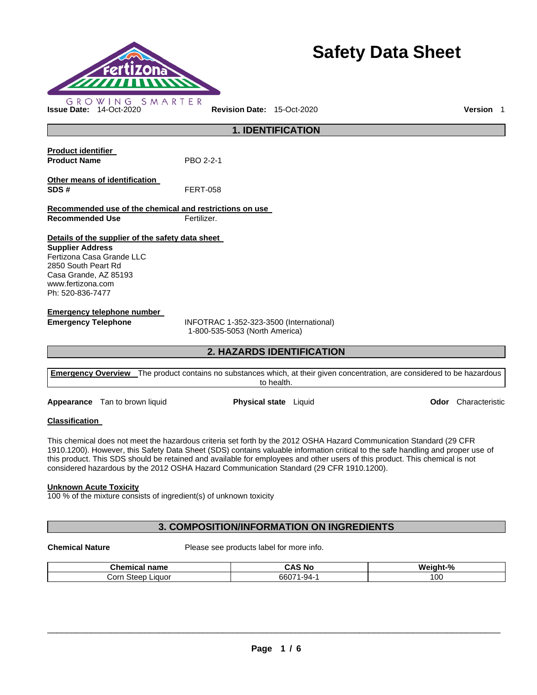

# **Safety Data Sheet**

**1. IDENTIFICATION Product identifier Product Name** PBO 2-2-1 **Other means of identification SDS #** FERT-058 **Recommended use of the chemical and restrictions on use Recommended Use Fertilizer. Details of the supplier of the safety data sheet Supplier Address** Fertizona Casa Grande LLC 2850 South Peart Rd Casa Grande, AZ 85193 www.fertizona.com Ph: 520-836-7477 **Emergency telephone number Emergency Telephone** INFOTRAC 1-352-323-3500 (International) 1-800-535-5053 (North America)

**2. HAZARDS IDENTIFICATION** 

| <b>Emergency Overview</b> The product contains no substances which, at their given concentration, are considered to be hazardous |
|----------------------------------------------------------------------------------------------------------------------------------|
| to health.                                                                                                                       |
|                                                                                                                                  |

**Appearance** Tan to brown liquid **Physical state** Liquid **Odor** Characteristic

# **Classification**

This chemical does not meet the hazardous criteria set forth by the 2012 OSHA Hazard Communication Standard (29 CFR 1910.1200). However, this Safety Data Sheet (SDS) contains valuable information critical to the safe handling and proper use of this product. This SDS should be retained and available for employees and other users of this product. This chemical is not considered hazardous by the 2012 OSHA Hazard Communication Standard (29 CFR 1910.1200).

# **Unknown Acute Toxicity**

100 % of the mixture consists of ingredient(s) of unknown toxicity

# **3. COMPOSITION/INFORMATION ON INGREDIENTS**

**Chemical Nature** Please see products label for more info.

| <b><u><b>BABBA</b></u></b><br>$-$<br>. .<br>une<br>пане<br>шса | CA.<br>N0     | iaht-%<br>w. |
|----------------------------------------------------------------|---------------|--------------|
| orrٽ<br>Liauor<br>t∩∩r<br>⊶اد.                                 | $-9A$<br>660. | 100          |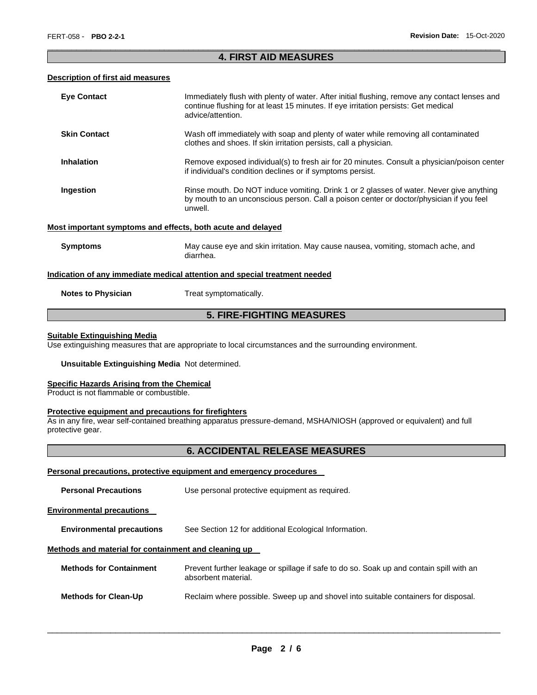# \_\_\_\_\_\_\_\_\_\_\_\_\_\_\_\_\_\_\_\_\_\_\_\_\_\_\_\_\_\_\_\_\_\_\_\_\_\_\_\_\_\_\_\_\_\_\_\_\_\_\_\_\_\_\_\_\_\_\_\_\_\_\_\_\_\_\_\_\_\_\_\_\_\_\_\_\_\_\_\_\_\_\_\_\_\_\_\_\_\_\_\_\_ **4. FIRST AID MEASURES**

# **Description of first aid measures**

| <b>Eye Contact</b>                                                                | Immediately flush with plenty of water. After initial flushing, remove any contact lenses and<br>continue flushing for at least 15 minutes. If eye irritation persists: Get medical<br>advice/attention. |  |  |  |
|-----------------------------------------------------------------------------------|----------------------------------------------------------------------------------------------------------------------------------------------------------------------------------------------------------|--|--|--|
| <b>Skin Contact</b>                                                               | Wash off immediately with soap and plenty of water while removing all contaminated<br>clothes and shoes. If skin irritation persists, call a physician.                                                  |  |  |  |
| <b>Inhalation</b>                                                                 | Remove exposed individual(s) to fresh air for 20 minutes. Consult a physician/poison center<br>if individual's condition declines or if symptoms persist.                                                |  |  |  |
| Ingestion                                                                         | Rinse mouth. Do NOT induce vomiting. Drink 1 or 2 glasses of water. Never give anything<br>by mouth to an unconscious person. Call a poison center or doctor/physician if you feel<br>unwell.            |  |  |  |
| Most important symptoms and effects, both acute and delayed                       |                                                                                                                                                                                                          |  |  |  |
| <b>Symptoms</b>                                                                   | May cause eye and skin irritation. May cause nausea, vomiting, stomach ache, and<br>diarrhea.                                                                                                            |  |  |  |
| <u>Indication of any immediate medical attention and special treatment needed</u> |                                                                                                                                                                                                          |  |  |  |
| <b>Notes to Physician</b>                                                         | Treat symptomatically.                                                                                                                                                                                   |  |  |  |
| <b>5. FIRE-FIGHTING MEASURES</b>                                                  |                                                                                                                                                                                                          |  |  |  |

# **Suitable Extinguishing Media**

Use extinguishing measures that are appropriate to local circumstances and the surrounding environment.

# **Unsuitable Extinguishing Media** Not determined.

# **Specific Hazards Arising from the Chemical**

Product is not flammable or combustible.

#### **Protective equipment and precautions for firefighters**

As in any fire, wear self-contained breathing apparatus pressure-demand, MSHA/NIOSH (approved or equivalent) and full protective gear.

# **6. ACCIDENTAL RELEASE MEASURES**

# **Personal precautions, protective equipment and emergency procedures**

| <b>Personal Precautions</b>                          | Use personal protective equipment as required.                                                                 |  |  |  |  |
|------------------------------------------------------|----------------------------------------------------------------------------------------------------------------|--|--|--|--|
| <b>Environmental precautions</b>                     |                                                                                                                |  |  |  |  |
| <b>Environmental precautions</b>                     | See Section 12 for additional Ecological Information.                                                          |  |  |  |  |
| Methods and material for containment and cleaning up |                                                                                                                |  |  |  |  |
| <b>Methods for Containment</b>                       | Prevent further leakage or spillage if safe to do so. Soak up and contain spill with an<br>absorbent material. |  |  |  |  |
| <b>Methods for Clean-Up</b>                          | Reclaim where possible. Sweep up and shovel into suitable containers for disposal.                             |  |  |  |  |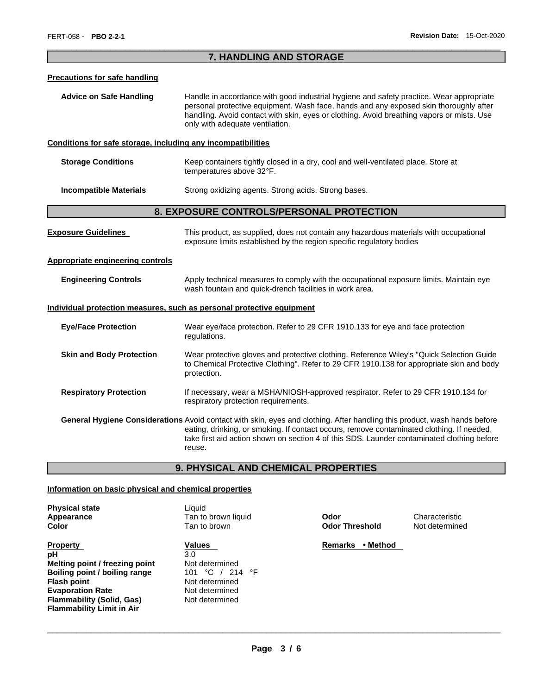# \_\_\_\_\_\_\_\_\_\_\_\_\_\_\_\_\_\_\_\_\_\_\_\_\_\_\_\_\_\_\_\_\_\_\_\_\_\_\_\_\_\_\_\_\_\_\_\_\_\_\_\_\_\_\_\_\_\_\_\_\_\_\_\_\_\_\_\_\_\_\_\_\_\_\_\_\_\_\_\_\_\_\_\_\_\_\_\_\_\_\_\_\_ **7. HANDLING AND STORAGE**

#### **Precautions for safe handling**

**Advice on Safe Handling** Handle in accordance with good industrial hygiene and safety practice. Wear appropriate personal protective equipment. Wash face, hands and any exposed skin thoroughly after handling. Avoid contact with skin, eyes or clothing. Avoid breathing vapors or mists. Use only with adequate ventilation.

# **Conditions for safe storage, including any incompatibilities**

| <b>Storage Conditions</b> | Keep containers tightly closed in a dry, cool and well-ventilated place. Store at |
|---------------------------|-----------------------------------------------------------------------------------|
|                           | temperatures above 32°F.                                                          |
|                           |                                                                                   |

**Incompatible Materials Strong oxidizing agents. Strong acids. Strong bases.** 

# **8. EXPOSURE CONTROLS/PERSONAL PROTECTION**

| <b>Exposure Guidelines</b>       | This product, as supplied, does not contain any hazardous materials with occupational<br>exposure limits established by the region specific regulatory bodies                                                                                                                                                                  |  |  |  |  |
|----------------------------------|--------------------------------------------------------------------------------------------------------------------------------------------------------------------------------------------------------------------------------------------------------------------------------------------------------------------------------|--|--|--|--|
| Appropriate engineering controls |                                                                                                                                                                                                                                                                                                                                |  |  |  |  |
| <b>Engineering Controls</b>      | Apply technical measures to comply with the occupational exposure limits. Maintain eye<br>wash fountain and quick-drench facilities in work area.                                                                                                                                                                              |  |  |  |  |
|                                  | Individual protection measures, such as personal protective equipment                                                                                                                                                                                                                                                          |  |  |  |  |
| <b>Eye/Face Protection</b>       | Wear eye/face protection. Refer to 29 CFR 1910.133 for eye and face protection<br>regulations.                                                                                                                                                                                                                                 |  |  |  |  |
| <b>Skin and Body Protection</b>  | Wear protective gloves and protective clothing. Reference Wiley's "Quick Selection Guide"<br>to Chemical Protective Clothing". Refer to 29 CFR 1910.138 for appropriate skin and body<br>protection.                                                                                                                           |  |  |  |  |
| <b>Respiratory Protection</b>    | If necessary, wear a MSHA/NIOSH-approved respirator. Refer to 29 CFR 1910.134 for<br>respiratory protection requirements.                                                                                                                                                                                                      |  |  |  |  |
|                                  | General Hygiene Considerations Avoid contact with skin, eyes and clothing. After handling this product, wash hands before<br>eating, drinking, or smoking. If contact occurs, remove contaminated clothing. If needed,<br>take first aid action shown on section 4 of this SDS. Launder contaminated clothing before<br>reuse. |  |  |  |  |

# **9. PHYSICAL AND CHEMICAL PROPERTIES**

### **Information on basic physical and chemical properties**

| <b>Physical state</b> |
|-----------------------|
| Appearance            |
| Color                 |

**Property Contract Property Contract Property Contract Property Contract Property Contract Property Contract Property pH** 3.0 **Melting point / freezing point** Not determined **Boiling point / boiling range** 101 °C / 214 °F **Flash point** Not determined **Evaporation Rate Not determined Flammability (Solid, Gas)** Not determined **Flammability Limit in Air** 

Liquid Tan to brown liquid **Odor Characteristic Color** Tan to brown **Odor Threshold** Not determined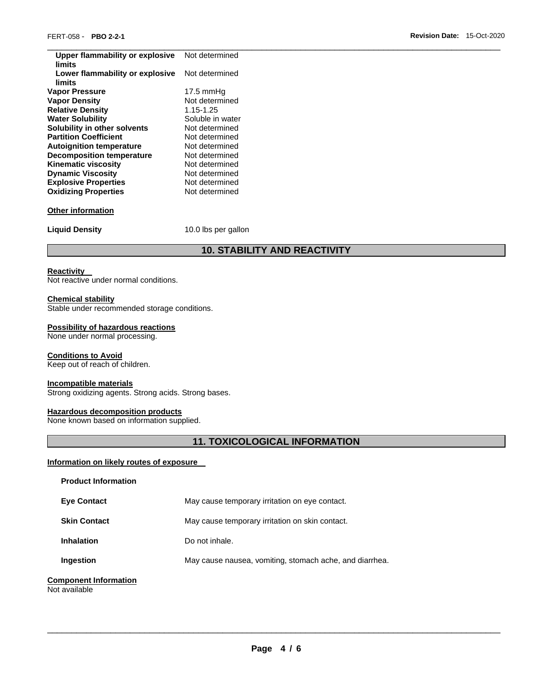| Upper flammability or explosive<br>limits | Not determined      |
|-------------------------------------------|---------------------|
| Lower flammability or explosive<br>limits | Not determined      |
| Vapor Pressure                            | $17.5 \text{ mmHg}$ |
| <b>Vapor Density</b>                      | Not determined      |
| <b>Relative Density</b>                   | 1.15-1.25           |
| <b>Water Solubility</b>                   | Soluble in water    |
| Solubility in other solvents              | Not determined      |
| <b>Partition Coefficient</b>              | Not determined      |
| <b>Autoignition temperature</b>           | Not determined      |
| <b>Decomposition temperature</b>          | Not determined      |
| Kinematic viscosity                       | Not determined      |
| <b>Dynamic Viscosity</b>                  | Not determined      |
| <b>Explosive Properties</b>               | Not determined      |
| <b>Oxidizing Properties</b>               | Not determined      |
|                                           |                     |
| <b>Other information</b>                  |                     |
|                                           |                     |
| <b>Liquid Density</b>                     | 10.0 lbs per gallon |
|                                           |                     |

# **10. STABILITY AND REACTIVITY**

# **Reactivity**

Not reactive under normal conditions.

# **Chemical stability**

Stable under recommended storage conditions.

# **Possibility of hazardous reactions**

None under normal processing.

# **Conditions to Avoid**

Keep out of reach of children.

# **Incompatible materials**

Strong oxidizing agents. Strong acids. Strong bases.

#### **Hazardous decomposition products**

None known based on information supplied.

# **11. TOXICOLOGICAL INFORMATION**

# **Information on likely routes of exposure**

| <b>Product Information</b>                    |                                                         |
|-----------------------------------------------|---------------------------------------------------------|
| <b>Eve Contact</b>                            | May cause temporary irritation on eye contact.          |
| <b>Skin Contact</b>                           | May cause temporary irritation on skin contact.         |
| <b>Inhalation</b>                             | Do not inhale.                                          |
| Ingestion                                     | May cause nausea, vomiting, stomach ache, and diarrhea. |
| <b>Component Information</b><br>Not available |                                                         |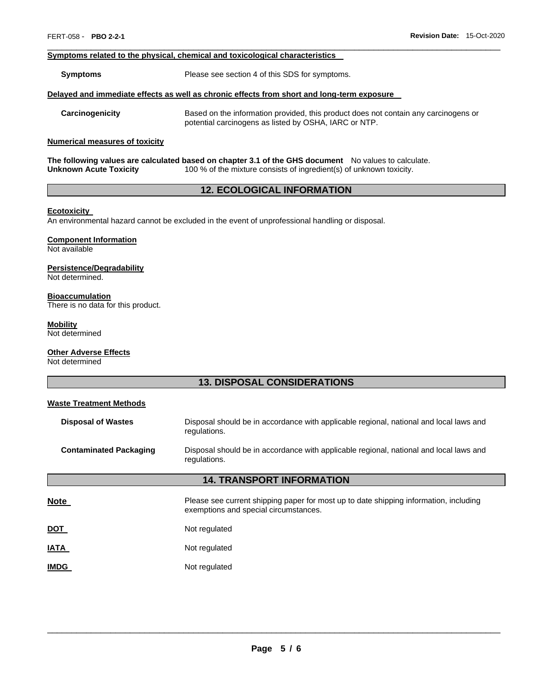# **Symptoms related to the physical, chemical and toxicological characteristics**

**Symptoms** Please see section 4 of this SDS for symptoms.

#### **Delayed and immediate effects as well as chronic effects from short and long-term exposure**

**Carcinogenicity** Based on the information provided, this product does not contain any carcinogens or potential carcinogens as listed by OSHA, IARC or NTP.

\_\_\_\_\_\_\_\_\_\_\_\_\_\_\_\_\_\_\_\_\_\_\_\_\_\_\_\_\_\_\_\_\_\_\_\_\_\_\_\_\_\_\_\_\_\_\_\_\_\_\_\_\_\_\_\_\_\_\_\_\_\_\_\_\_\_\_\_\_\_\_\_\_\_\_\_\_\_\_\_\_\_\_\_\_\_\_\_\_\_\_\_\_

#### **Numerical measures of toxicity**

**The following values are calculated based on chapter 3.1 of the GHS document** No values to calculate.<br>Unknown Acute Toxicity 100 % of the mixture consists of ingredient(s) of unknown toxicity. 100 % of the mixture consists of ingredient(s) of unknown toxicity.

# **12. ECOLOGICAL INFORMATION**

# **Ecotoxicity**

An environmental hazard cannot be excluded in the event of unprofessional handling or disposal.

# **Component Information**

Not available

# **Persistence/Degradability**

Not determined.

#### **Bioaccumulation**

There is no data for this product.

#### **Mobility**

Not determined

# **Other Adverse Effects**

Not determined

# **13. DISPOSAL CONSIDERATIONS**

| <b>Waste Treatment Methods</b>   |                                                                                                                                |  |  |  |  |
|----------------------------------|--------------------------------------------------------------------------------------------------------------------------------|--|--|--|--|
| <b>Disposal of Wastes</b>        | Disposal should be in accordance with applicable regional, national and local laws and<br>regulations.                         |  |  |  |  |
| <b>Contaminated Packaging</b>    | Disposal should be in accordance with applicable regional, national and local laws and<br>regulations.                         |  |  |  |  |
| <b>14. TRANSPORT INFORMATION</b> |                                                                                                                                |  |  |  |  |
| <b>Note</b>                      | Please see current shipping paper for most up to date shipping information, including<br>exemptions and special circumstances. |  |  |  |  |
| <b>DOT</b>                       | Not regulated                                                                                                                  |  |  |  |  |
| <b>IATA</b>                      | Not regulated                                                                                                                  |  |  |  |  |
| <b>IMDG</b>                      | Not regulated                                                                                                                  |  |  |  |  |